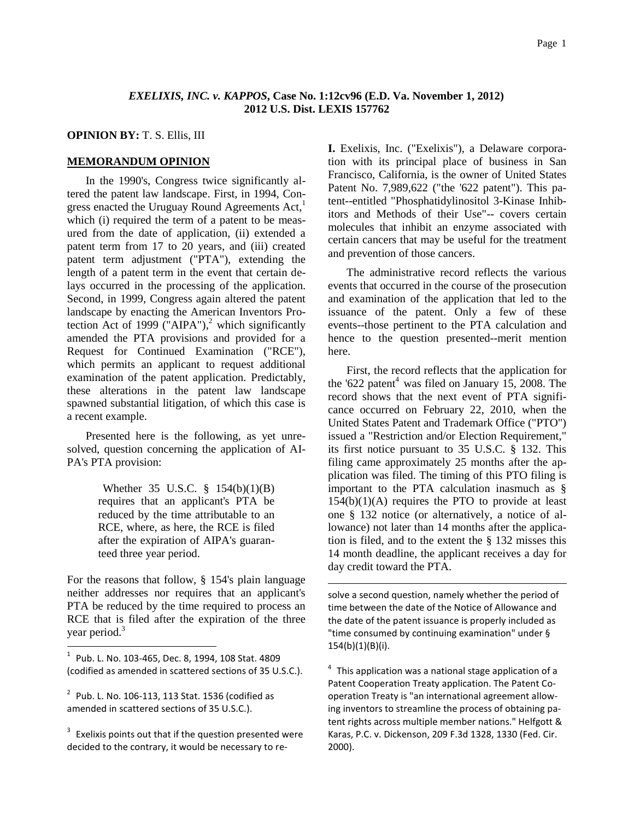# *EXELIXIS, INC. v. KAPPOS***, Case No. 1:12cv96 (E.D. Va. November 1, 2012) 2012 U.S. Dist. LEXIS 157762**

-

#### **OPINION BY:** T. S. Ellis, III

## **MEMORANDUM OPINION**

In the 1990's, Congress twice significantly altered the patent law landscape. First, in 1994, Congress enacted the Uruguay Round Agreements Act,<sup>1</sup> which (i) required the term of a patent to be measured from the date of application, (ii) extended a patent term from 17 to 20 years, and (iii) created patent term adjustment ("PTA"), extending the length of a patent term in the event that certain delays occurred in the processing of the application. Second, in 1999, Congress again altered the patent landscape by enacting the American Inventors Protection Act of 1999 ("AIPA"),<sup>2</sup> which significantly amended the PTA provisions and provided for a Request for Continued Examination ("RCE"), which permits an applicant to request additional examination of the patent application. Predictably, these alterations in the patent law landscape spawned substantial litigation, of which this case is a recent example.

Presented here is the following, as yet unresolved, question concerning the application of AI-PA's PTA provision:

> Whether 35 U.S.C. § 154(b)(1)(B) requires that an applicant's PTA be reduced by the time attributable to an RCE, where, as here, the RCE is filed after the expiration of AIPA's guaranteed three year period.

For the reasons that follow, § 154's plain language neither addresses nor requires that an applicant's PTA be reduced by the time required to process an RCE that is filed after the expiration of the three year period.<sup>3</sup>

l,

 $3$  Exelixis points out that if the question presented were decided to the contrary, it would be necessary to re**I.** Exelixis, Inc. ("Exelixis"), a Delaware corporation with its principal place of business in San Francisco, California, is the owner of United States Patent No. 7,989,622 ("the '622 patent"). This patent--entitled "Phosphatidylinositol 3-Kinase Inhibitors and Methods of their Use"-- covers certain molecules that inhibit an enzyme associated with certain cancers that may be useful for the treatment and prevention of those cancers.

The administrative record reflects the various events that occurred in the course of the prosecution and examination of the application that led to the issuance of the patent. Only a few of these events--those pertinent to the PTA calculation and hence to the question presented--merit mention here.

First, the record reflects that the application for the '622 patent<sup>4</sup> was filed on January 15, 2008. The record shows that the next event of PTA significance occurred on February 22, 2010, when the United States Patent and Trademark Office ("PTO") issued a "Restriction and/or Election Requirement," its first notice pursuant to 35 U.S.C. § 132. This filing came approximately 25 months after the application was filed. The timing of this PTO filing is important to the PTA calculation inasmuch as §  $154(b)(1)(A)$  requires the PTO to provide at least one § 132 notice (or alternatively, a notice of allowance) not later than 14 months after the application is filed, and to the extent the § 132 misses this 14 month deadline, the applicant receives a day for day credit toward the PTA.

solve a second question, namely whether the period of time between the date of the Notice of Allowance and the date of the patent issuance is properly included as "time consumed by continuing examination" under § 154(b)(1)(B)(i).

 $4$  This application was a national stage application of a Patent Cooperation Treaty application. The Patent Cooperation Treaty is "an international agreement allowing inventors to streamline the process of obtaining patent rights across multiple member nations." Helfgott & Karas, P.C. v. Dickenson, 209 F.3d 1328, 1330 (Fed. Cir. 2000).

<sup>1</sup> Pub. L. No. 103-465, Dec. 8, 1994, 108 Stat. 4809 (codified as amended in scattered sections of 35 U.S.C.).

 $2^{2}$  Pub. L. No. 106-113, 113 Stat. 1536 (codified as amended in scattered sections of 35 U.S.C.).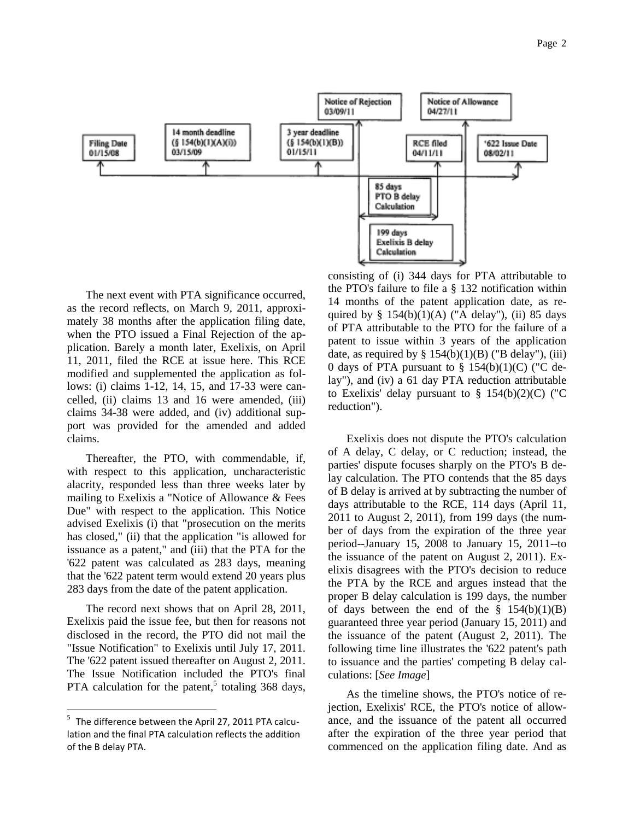

The next event with PTA significance occurred, as the record reflects, on March 9, 2011, approximately 38 months after the application filing date, when the PTO issued a Final Rejection of the application. Barely a month later, Exelixis, on April 11, 2011, filed the RCE at issue here. This RCE modified and supplemented the application as follows: (i) claims 1-12, 14, 15, and 17-33 were cancelled, (ii) claims 13 and 16 were amended, (iii) claims 34-38 were added, and (iv) additional support was provided for the amended and added claims.

Thereafter, the PTO, with commendable, if, with respect to this application, uncharacteristic alacrity, responded less than three weeks later by mailing to Exelixis a "Notice of Allowance & Fees Due" with respect to the application. This Notice advised Exelixis (i) that "prosecution on the merits has closed," (ii) that the application "is allowed for issuance as a patent," and (iii) that the PTA for the '622 patent was calculated as 283 days, meaning that the '622 patent term would extend 20 years plus 283 days from the date of the patent application.

The record next shows that on April 28, 2011, Exelixis paid the issue fee, but then for reasons not disclosed in the record, the PTO did not mail the "Issue Notification" to Exelixis until July 17, 2011. The '622 patent issued thereafter on August 2, 2011. The Issue Notification included the PTO's final PTA calculation for the patent,<sup>5</sup> totaling  $368$  days,

i<br>L

consisting of (i) 344 days for PTA attributable to the PTO's failure to file a § 132 notification within 14 months of the patent application date, as required by  $\S$  154(b)(1)(A) ("A delay"), (ii) 85 days of PTA attributable to the PTO for the failure of a patent to issue within 3 years of the application date, as required by  $\S 154(b)(1)(B)$  ("B delay"), (iii) 0 days of PTA pursuant to  $\S$  154(b)(1)(C) ("C delay"), and (iv) a 61 day PTA reduction attributable to Exelixis' delay pursuant to  $\S$  154(b)(2)(C) ("C) reduction").

Exelixis does not dispute the PTO's calculation of A delay, C delay, or C reduction; instead, the parties' dispute focuses sharply on the PTO's B delay calculation. The PTO contends that the 85 days of B delay is arrived at by subtracting the number of days attributable to the RCE, 114 days (April 11, 2011 to August 2, 2011), from 199 days (the number of days from the expiration of the three year period--January 15, 2008 to January 15, 2011--to the issuance of the patent on August 2, 2011). Exelixis disagrees with the PTO's decision to reduce the PTA by the RCE and argues instead that the proper B delay calculation is 199 days, the number of days between the end of the  $\S$  154(b)(1)(B) guaranteed three year period (January 15, 2011) and the issuance of the patent (August 2, 2011). The following time line illustrates the '622 patent's path to issuance and the parties' competing B delay calculations: [*See Image*]

As the timeline shows, the PTO's notice of rejection, Exelixis' RCE, the PTO's notice of allowance, and the issuance of the patent all occurred after the expiration of the three year period that commenced on the application filing date. And as

<sup>&</sup>lt;sup>5</sup> The difference between the April 27, 2011 PTA calculation and the final PTA calculation reflects the addition of the B delay PTA.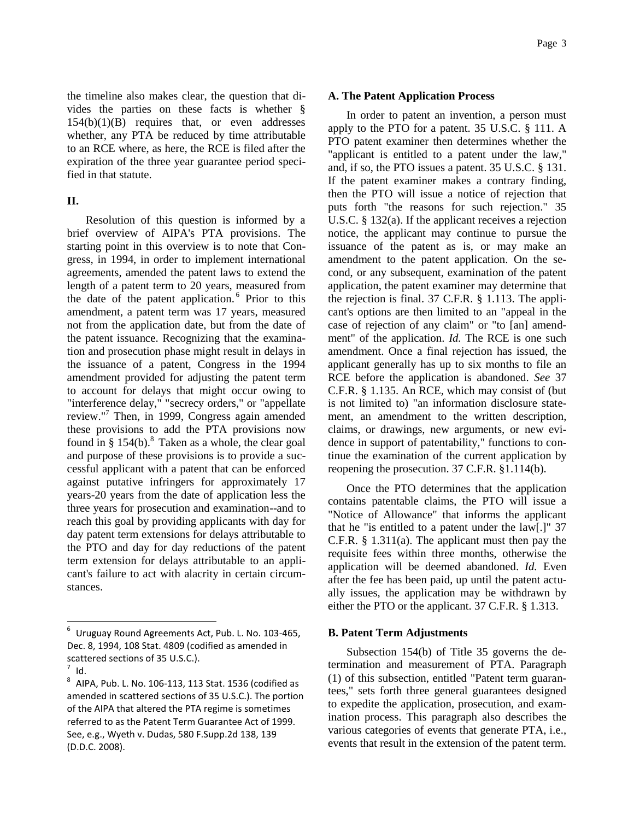the timeline also makes clear, the question that divides the parties on these facts is whether §  $154(b)(1)(B)$  requires that, or even addresses whether, any PTA be reduced by time attributable to an RCE where, as here, the RCE is filed after the expiration of the three year guarantee period specified in that statute.

# **II.**

Resolution of this question is informed by a brief overview of AIPA's PTA provisions. The starting point in this overview is to note that Congress, in 1994, in order to implement international agreements, amended the patent laws to extend the length of a patent term to 20 years, measured from the date of the patent application.<sup>6</sup> Prior to this amendment, a patent term was 17 years, measured not from the application date, but from the date of the patent issuance. Recognizing that the examination and prosecution phase might result in delays in the issuance of a patent, Congress in the 1994 amendment provided for adjusting the patent term to account for delays that might occur owing to "interference delay," "secrecy orders," or "appellate review."<sup>7</sup> Then, in 1999, Congress again amended these provisions to add the PTA provisions now found in  $§$  154(b).<sup>8</sup> Taken as a whole, the clear goal and purpose of these provisions is to provide a successful applicant with a patent that can be enforced against putative infringers for approximately 17 years-20 years from the date of application less the three years for prosecution and examination--and to reach this goal by providing applicants with day for day patent term extensions for delays attributable to the PTO and day for day reductions of the patent term extension for delays attributable to an applicant's failure to act with alacrity in certain circumstances.

i<br>L

#### **A. The Patent Application Process**

In order to patent an invention, a person must apply to the PTO for a patent. 35 U.S.C. § 111. A PTO patent examiner then determines whether the "applicant is entitled to a patent under the law," and, if so, the PTO issues a patent. 35 U.S.C. § 131. If the patent examiner makes a contrary finding, then the PTO will issue a notice of rejection that puts forth "the reasons for such rejection." 35 U.S.C. § 132(a). If the applicant receives a rejection notice, the applicant may continue to pursue the issuance of the patent as is, or may make an amendment to the patent application. On the second, or any subsequent, examination of the patent application, the patent examiner may determine that the rejection is final. 37 C.F.R. § 1.113. The applicant's options are then limited to an "appeal in the case of rejection of any claim" or "to [an] amendment" of the application. *Id.* The RCE is one such amendment. Once a final rejection has issued, the applicant generally has up to six months to file an RCE before the application is abandoned. *See* 37 C.F.R. § 1.135. An RCE, which may consist of (but is not limited to) "an information disclosure statement, an amendment to the written description, claims, or drawings, new arguments, or new evidence in support of patentability," functions to continue the examination of the current application by reopening the prosecution. 37 C.F.R. §1.114(b).

Once the PTO determines that the application contains patentable claims, the PTO will issue a "Notice of Allowance" that informs the applicant that he "is entitled to a patent under the law[.]" 37 C.F.R. § 1.311(a). The applicant must then pay the requisite fees within three months, otherwise the application will be deemed abandoned. *Id.* Even after the fee has been paid, up until the patent actually issues, the application may be withdrawn by either the PTO or the applicant. 37 C.F.R. § 1.313.

#### **B. Patent Term Adjustments**

Subsection 154(b) of Title 35 governs the determination and measurement of PTA. Paragraph (1) of this subsection, entitled "Patent term guarantees," sets forth three general guarantees designed to expedite the application, prosecution, and examination process. This paragraph also describes the various categories of events that generate PTA, i.e., events that result in the extension of the patent term.

<sup>6</sup> Uruguay Round Agreements Act, Pub. L. No. 103-465, Dec. 8, 1994, 108 Stat. 4809 (codified as amended in scattered sections of 35 U.S.C.).

 $^7$  Id.

 $^8$  AIPA, Pub. L. No. 106-113, 113 Stat. 1536 (codified as amended in scattered sections of 35 U.S.C.). The portion of the AIPA that altered the PTA regime is sometimes referred to as the Patent Term Guarantee Act of 1999. See, e.g., Wyeth v. Dudas, 580 F.Supp.2d 138, 139 (D.D.C. 2008).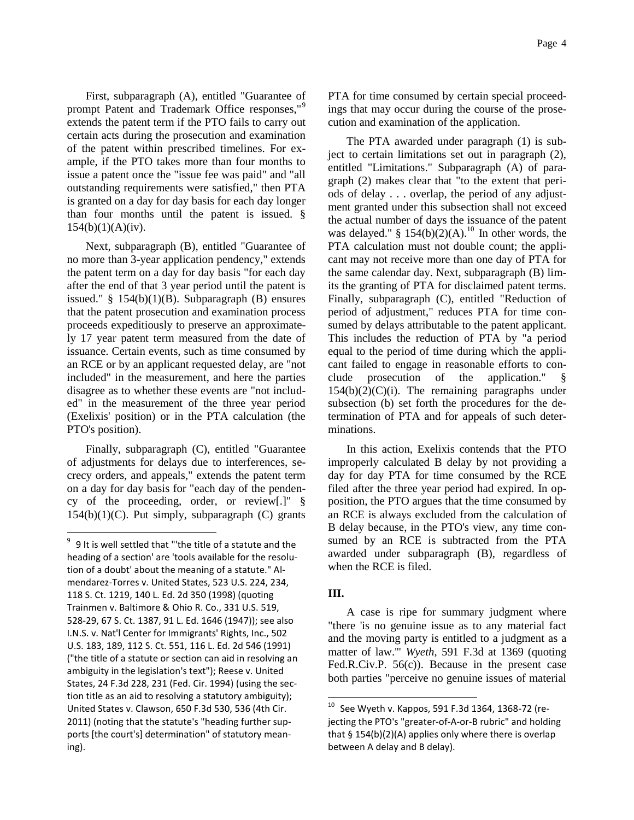First, subparagraph (A), entitled "Guarantee of prompt Patent and Trademark Office responses,"<sup>9</sup> extends the patent term if the PTO fails to carry out certain acts during the prosecution and examination of the patent within prescribed timelines. For example, if the PTO takes more than four months to issue a patent once the "issue fee was paid" and "all outstanding requirements were satisfied," then PTA is granted on a day for day basis for each day longer than four months until the patent is issued. §  $154(b)(1)(A)(iv)$ .

Next, subparagraph (B), entitled "Guarantee of no more than 3-year application pendency," extends the patent term on a day for day basis "for each day after the end of that 3 year period until the patent is issued."  $§$  154(b)(1)(B). Subparagraph (B) ensures that the patent prosecution and examination process proceeds expeditiously to preserve an approximately 17 year patent term measured from the date of issuance. Certain events, such as time consumed by an RCE or by an applicant requested delay, are "not included" in the measurement, and here the parties disagree as to whether these events are "not included" in the measurement of the three year period (Exelixis' position) or in the PTA calculation (the PTO's position).

Finally, subparagraph (C), entitled "Guarantee of adjustments for delays due to interferences, secrecy orders, and appeals," extends the patent term on a day for day basis for "each day of the pendency of the proceeding, order, or review[.]" §  $154(b)(1)(C)$ . Put simply, subparagraph  $(C)$  grants

i<br>L

PTA for time consumed by certain special proceedings that may occur during the course of the prosecution and examination of the application.

The PTA awarded under paragraph (1) is subject to certain limitations set out in paragraph (2), entitled "Limitations." Subparagraph (A) of paragraph (2) makes clear that "to the extent that periods of delay . . . overlap, the period of any adjustment granted under this subsection shall not exceed the actual number of days the issuance of the patent was delayed." §  $154(b)(2)(A)$ .<sup>10</sup> In other words, the PTA calculation must not double count; the applicant may not receive more than one day of PTA for the same calendar day. Next, subparagraph (B) limits the granting of PTA for disclaimed patent terms. Finally, subparagraph (C), entitled "Reduction of period of adjustment," reduces PTA for time consumed by delays attributable to the patent applicant. This includes the reduction of PTA by "a period equal to the period of time during which the applicant failed to engage in reasonable efforts to conclude prosecution of the application." §  $154(b)(2)(C)(i)$ . The remaining paragraphs under subsection (b) set forth the procedures for the determination of PTA and for appeals of such determinations.

In this action, Exelixis contends that the PTO improperly calculated B delay by not providing a day for day PTA for time consumed by the RCE filed after the three year period had expired. In opposition, the PTO argues that the time consumed by an RCE is always excluded from the calculation of B delay because, in the PTO's view, any time consumed by an RCE is subtracted from the PTA awarded under subparagraph (B), regardless of when the RCE is filed.

# **III.**

ı.

A case is ripe for summary judgment where "there 'is no genuine issue as to any material fact and the moving party is entitled to a judgment as a matter of law.'" *Wyeth*, 591 F.3d at 1369 (quoting Fed.R.Civ.P. 56(c)). Because in the present case both parties "perceive no genuine issues of material

 $9\,$  9 It is well settled that "'the title of a statute and the heading of a section' are 'tools available for the resolution of a doubt' about the meaning of a statute." Almendarez-Torres v. United States, 523 U.S. 224, 234, 118 S. Ct. 1219, 140 L. Ed. 2d 350 (1998) (quoting Trainmen v. Baltimore & Ohio R. Co., 331 U.S. 519, 528-29, 67 S. Ct. 1387, 91 L. Ed. 1646 (1947)); see also I.N.S. v. Nat'l Center for Immigrants' Rights, Inc., 502 U.S. 183, 189, 112 S. Ct. 551, 116 L. Ed. 2d 546 (1991) ("the title of a statute or section can aid in resolving an ambiguity in the legislation's text"); Reese v. United States, 24 F.3d 228, 231 (Fed. Cir. 1994) (using the section title as an aid to resolving a statutory ambiguity); United States v. Clawson, 650 F.3d 530, 536 (4th Cir. 2011) (noting that the statute's "heading further supports [the court's] determination" of statutory meaning).

 $10$  See Wyeth v. Kappos, 591 F.3d 1364, 1368-72 (rejecting the PTO's "greater-of-A-or-B rubric" and holding that § 154(b)(2)(A) applies only where there is overlap between A delay and B delay).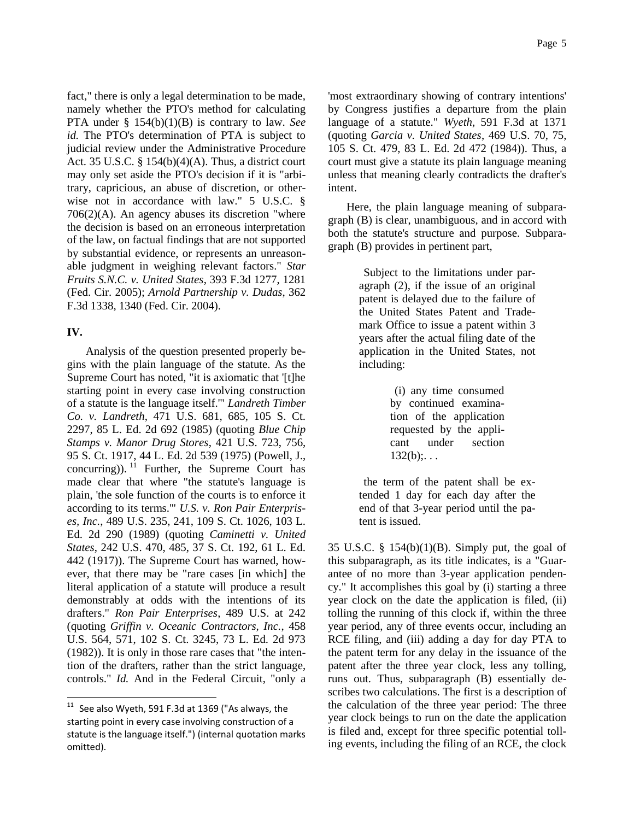fact," there is only a legal determination to be made, namely whether the PTO's method for calculating PTA under § 154(b)(1)(B) is contrary to law. *See id.* The PTO's determination of PTA is subject to judicial review under the Administrative Procedure Act. 35 U.S.C. §  $154(b)(4)(A)$ . Thus, a district court may only set aside the PTO's decision if it is "arbitrary, capricious, an abuse of discretion, or otherwise not in accordance with law." 5 U.S.C. § 706(2)(A). An agency abuses its discretion "where the decision is based on an erroneous interpretation of the law, on factual findings that are not supported by substantial evidence, or represents an unreasonable judgment in weighing relevant factors." *Star Fruits S.N.C. v. United States*, 393 F.3d 1277, 1281 (Fed. Cir. 2005); *Arnold Partnership v. Dudas*, 362 F.3d 1338, 1340 (Fed. Cir. 2004).

# **IV.**

ı.

Analysis of the question presented properly begins with the plain language of the statute. As the Supreme Court has noted, "it is axiomatic that '[t]he starting point in every case involving construction of a statute is the language itself.'" *Landreth Timber Co. v. Landreth*, 471 U.S. 681, 685, 105 S. Ct. 2297, 85 L. Ed. 2d 692 (1985) (quoting *Blue Chip Stamps v. Manor Drug Stores*, 421 U.S. 723, 756, 95 S. Ct. 1917, 44 L. Ed. 2d 539 (1975) (Powell, J., concurring)).  $^{11}$  Further, the Supreme Court has made clear that where "the statute's language is plain, 'the sole function of the courts is to enforce it according to its terms.'" *U.S. v. Ron Pair Enterprises, Inc.*, 489 U.S. 235, 241, 109 S. Ct. 1026, 103 L. Ed. 2d 290 (1989) (quoting *Caminetti v. United States*, 242 U.S. 470, 485, 37 S. Ct. 192, 61 L. Ed. 442 (1917)). The Supreme Court has warned, however, that there may be "rare cases [in which] the literal application of a statute will produce a result demonstrably at odds with the intentions of its drafters." *Ron Pair Enterprises*, 489 U.S. at 242 (quoting *Griffin v. Oceanic Contractors, Inc.*, 458 U.S. 564, 571, 102 S. Ct. 3245, 73 L. Ed. 2d 973 (1982)). It is only in those rare cases that "the intention of the drafters, rather than the strict language, controls." *Id.* And in the Federal Circuit, "only a

'most extraordinary showing of contrary intentions' by Congress justifies a departure from the plain language of a statute." *Wyeth*, 591 F.3d at 1371 (quoting *Garcia v. United States*, 469 U.S. 70, 75, 105 S. Ct. 479, 83 L. Ed. 2d 472 (1984)). Thus, a court must give a statute its plain language meaning unless that meaning clearly contradicts the drafter's intent.

Here, the plain language meaning of subparagraph (B) is clear, unambiguous, and in accord with both the statute's structure and purpose. Subparagraph (B) provides in pertinent part,

> Subject to the limitations under paragraph (2), if the issue of an original patent is delayed due to the failure of the United States Patent and Trademark Office to issue a patent within 3 years after the actual filing date of the application in the United States, not including:

> > (i) any time consumed by continued examination of the application requested by the applicant under section  $132(b)$ ;...

the term of the patent shall be extended 1 day for each day after the end of that 3-year period until the patent is issued.

35 U.S.C. § 154(b)(1)(B). Simply put, the goal of this subparagraph, as its title indicates, is a "Guarantee of no more than 3-year application pendency." It accomplishes this goal by (i) starting a three year clock on the date the application is filed, (ii) tolling the running of this clock if, within the three year period, any of three events occur, including an RCE filing, and (iii) adding a day for day PTA to the patent term for any delay in the issuance of the patent after the three year clock, less any tolling, runs out. Thus, subparagraph (B) essentially describes two calculations. The first is a description of the calculation of the three year period: The three year clock beings to run on the date the application is filed and, except for three specific potential tolling events, including the filing of an RCE, the clock

 $11$  See also Wyeth, 591 F.3d at 1369 ("As always, the starting point in every case involving construction of a statute is the language itself.") (internal quotation marks omitted).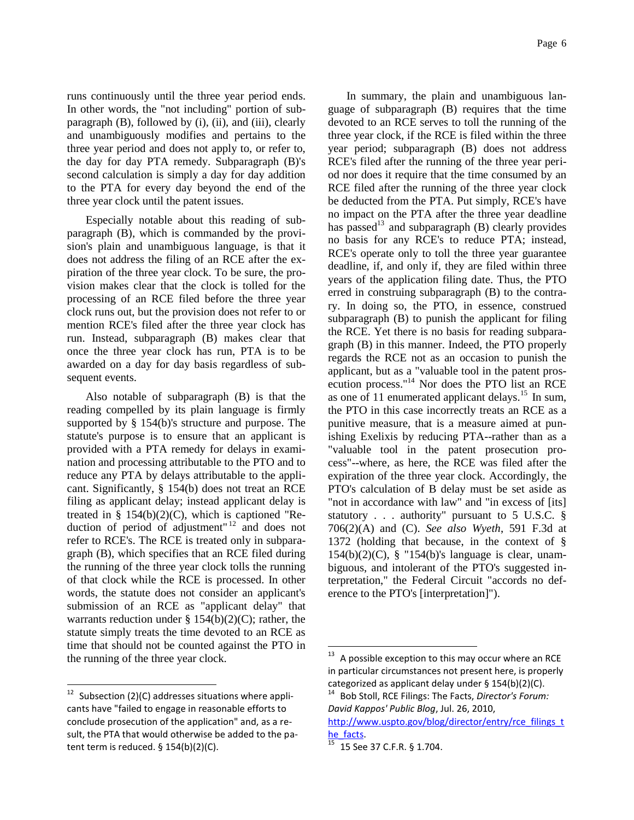runs continuously until the three year period ends. In other words, the "not including" portion of subparagraph (B), followed by (i), (ii), and (iii), clearly and unambiguously modifies and pertains to the three year period and does not apply to, or refer to, the day for day PTA remedy. Subparagraph (B)'s second calculation is simply a day for day addition to the PTA for every day beyond the end of the three year clock until the patent issues.

Especially notable about this reading of subparagraph (B), which is commanded by the provision's plain and unambiguous language, is that it does not address the filing of an RCE after the expiration of the three year clock. To be sure, the provision makes clear that the clock is tolled for the processing of an RCE filed before the three year clock runs out, but the provision does not refer to or mention RCE's filed after the three year clock has run. Instead, subparagraph (B) makes clear that once the three year clock has run, PTA is to be awarded on a day for day basis regardless of subsequent events.

Also notable of subparagraph (B) is that the reading compelled by its plain language is firmly supported by § 154(b)'s structure and purpose. The statute's purpose is to ensure that an applicant is provided with a PTA remedy for delays in examination and processing attributable to the PTO and to reduce any PTA by delays attributable to the applicant. Significantly, § 154(b) does not treat an RCE filing as applicant delay; instead applicant delay is treated in  $\S$  154(b)(2)(C), which is captioned "Reduction of period of adjustment"<sup>12</sup> and does not refer to RCE's. The RCE is treated only in subparagraph (B), which specifies that an RCE filed during the running of the three year clock tolls the running of that clock while the RCE is processed. In other words, the statute does not consider an applicant's submission of an RCE as "applicant delay" that warrants reduction under  $\S 154(b)(2)(C)$ ; rather, the statute simply treats the time devoted to an RCE as time that should not be counted against the PTO in the running of the three year clock.

i<br>L

In summary, the plain and unambiguous language of subparagraph (B) requires that the time devoted to an RCE serves to toll the running of the three year clock, if the RCE is filed within the three year period; subparagraph (B) does not address RCE's filed after the running of the three year period nor does it require that the time consumed by an RCE filed after the running of the three year clock be deducted from the PTA. Put simply, RCE's have no impact on the PTA after the three year deadline has passed<sup>13</sup> and subparagraph  $(B)$  clearly provides no basis for any RCE's to reduce PTA; instead, RCE's operate only to toll the three year guarantee deadline, if, and only if, they are filed within three years of the application filing date. Thus, the PTO erred in construing subparagraph (B) to the contrary. In doing so, the PTO, in essence, construed subparagraph (B) to punish the applicant for filing the RCE. Yet there is no basis for reading subparagraph (B) in this manner. Indeed, the PTO properly regards the RCE not as an occasion to punish the applicant, but as a "valuable tool in the patent prosecution process."<sup>14</sup> Nor does the PTO list an RCE as one of 11 enumerated applicant delays.<sup>15</sup> In sum, the PTO in this case incorrectly treats an RCE as a punitive measure, that is a measure aimed at punishing Exelixis by reducing PTA--rather than as a "valuable tool in the patent prosecution process"--where, as here, the RCE was filed after the expiration of the three year clock. Accordingly, the PTO's calculation of B delay must be set aside as "not in accordance with law" and "in excess of [its] statutory . . . authority" pursuant to 5 U.S.C. § 706(2)(A) and (C). *See also Wyeth*, 591 F.3d at 1372 (holding that because, in the context of §  $154(b)(2)(C)$ , § "154(b)'s language is clear, unambiguous, and intolerant of the PTO's suggested interpretation," the Federal Circuit "accords no deference to the PTO's [interpretation]").

l,

Subsection (2)(C) addresses situations where applicants have "failed to engage in reasonable efforts to conclude prosecution of the application" and, as a result, the PTA that would otherwise be added to the patent term is reduced.  $\S$  154(b)(2)(C).

 $13$  A possible exception to this may occur where an RCE in particular circumstances not present here, is properly categorized as applicant delay under § 154(b)(2)(C). <sup>14</sup> Bob Stoll, RCE Filings: The Facts, *Director's Forum:* 

*David Kappos' Public Blog*, Jul. 26, 2010,

[http://www.uspto.gov/blog/director/entry/rce\\_filings\\_t](http://www.uspto.gov/blog/director/entry/rce_filings_the_facts) [he\\_facts.](http://www.uspto.gov/blog/director/entry/rce_filings_the_facts)

<sup>15</sup> 15 See 37 C.F.R. § 1.704.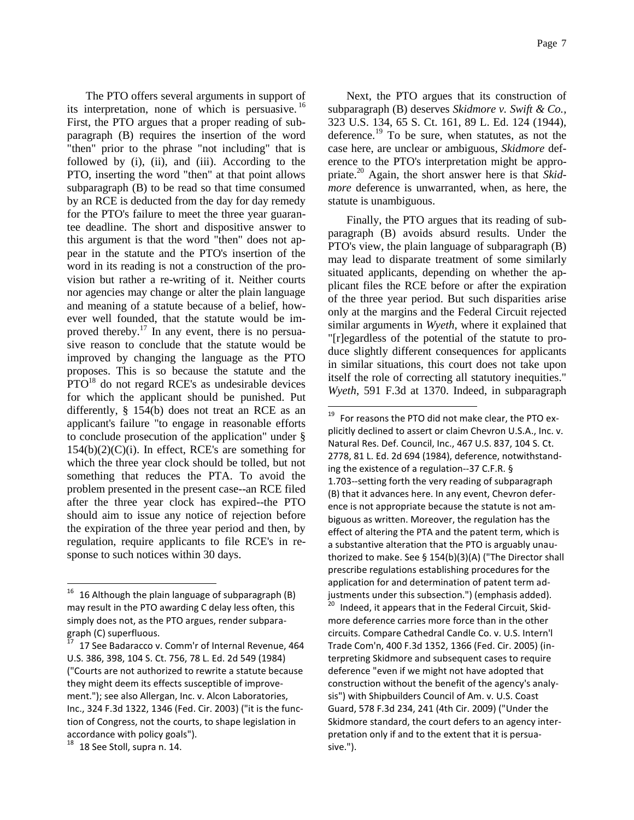Page 7

The PTO offers several arguments in support of its interpretation, none of which is persuasive.<sup>16</sup> First, the PTO argues that a proper reading of subparagraph (B) requires the insertion of the word "then" prior to the phrase "not including" that is followed by (i), (ii), and (iii). According to the PTO, inserting the word "then" at that point allows subparagraph (B) to be read so that time consumed by an RCE is deducted from the day for day remedy for the PTO's failure to meet the three year guarantee deadline. The short and dispositive answer to this argument is that the word "then" does not appear in the statute and the PTO's insertion of the word in its reading is not a construction of the provision but rather a re-writing of it. Neither courts nor agencies may change or alter the plain language and meaning of a statute because of a belief, however well founded, that the statute would be improved thereby.<sup>17</sup> In any event, there is no persuasive reason to conclude that the statute would be improved by changing the language as the PTO proposes. This is so because the statute and the  $PTO<sup>18</sup>$  do not regard RCE's as undesirable devices for which the applicant should be punished. Put differently, § 154(b) does not treat an RCE as an applicant's failure "to engage in reasonable efforts to conclude prosecution of the application" under §  $154(b)(2)(C)(i)$ . In effect, RCE's are something for which the three year clock should be tolled, but not something that reduces the PTA. To avoid the problem presented in the present case--an RCE filed after the three year clock has expired--the PTO should aim to issue any notice of rejection before the expiration of the three year period and then, by regulation, require applicants to file RCE's in response to such notices within 30 days.

l,

Next, the PTO argues that its construction of subparagraph (B) deserves *Skidmore v. Swift & Co.*, 323 U.S. 134, 65 S. Ct. 161, 89 L. Ed. 124 (1944), deference.<sup>19</sup> To be sure, when statutes, as not the case here, are unclear or ambiguous, *Skidmore* deference to the PTO's interpretation might be appropriate.<sup>20</sup> Again, the short answer here is that *Skidmore* deference is unwarranted, when, as here, the statute is unambiguous.

Finally, the PTO argues that its reading of subparagraph (B) avoids absurd results. Under the PTO's view, the plain language of subparagraph (B) may lead to disparate treatment of some similarly situated applicants, depending on whether the applicant files the RCE before or after the expiration of the three year period. But such disparities arise only at the margins and the Federal Circuit rejected similar arguments in *Wyeth*, where it explained that "[r]egardless of the potential of the statute to produce slightly different consequences for applicants in similar situations, this court does not take upon itself the role of correcting all statutory inequities." *Wyeth*, 591 F.3d at 1370. Indeed, in subparagraph

ı.

Indeed, it appears that in the Federal Circuit, Skidmore deference carries more force than in the other circuits. Compare Cathedral Candle Co. v. U.S. Intern'l Trade Com'n, 400 F.3d 1352, 1366 (Fed. Cir. 2005) (interpreting Skidmore and subsequent cases to require deference "even if we might not have adopted that construction without the benefit of the agency's analysis") with Shipbuilders Council of Am. v. U.S. Coast Guard, 578 F.3d 234, 241 (4th Cir. 2009) ("Under the Skidmore standard, the court defers to an agency interpretation only if and to the extent that it is persuasive.").

 $16$  16 Although the plain language of subparagraph (B) may result in the PTO awarding C delay less often, this simply does not, as the PTO argues, render subparagraph (C) superfluous.

<sup>17</sup> See Badaracco v. Comm'r of Internal Revenue, 464 U.S. 386, 398, 104 S. Ct. 756, 78 L. Ed. 2d 549 (1984) ("Courts are not authorized to rewrite a statute because they might deem its effects susceptible of improvement."); see also Allergan, Inc. v. Alcon Laboratories, Inc., 324 F.3d 1322, 1346 (Fed. Cir. 2003) ("it is the function of Congress, not the courts, to shape legislation in accordance with policy goals").

 $18$  18 See Stoll, supra n. 14.

<sup>19</sup> For reasons the PTO did not make clear, the PTO explicitly declined to assert or claim Chevron U.S.A., Inc. v. Natural Res. Def. Council, Inc., 467 U.S. 837, 104 S. Ct. 2778, 81 L. Ed. 2d 694 (1984), deference, notwithstanding the existence of a regulation--37 C.F.R. § 1.703--setting forth the very reading of subparagraph (B) that it advances here. In any event, Chevron deference is not appropriate because the statute is not ambiguous as written. Moreover, the regulation has the effect of altering the PTA and the patent term, which is a substantive alteration that the PTO is arguably unauthorized to make. See § 154(b)(3)(A) ("The Director shall prescribe regulations establishing procedures for the application for and determination of patent term adjustments under this subsection.") (emphasis added).